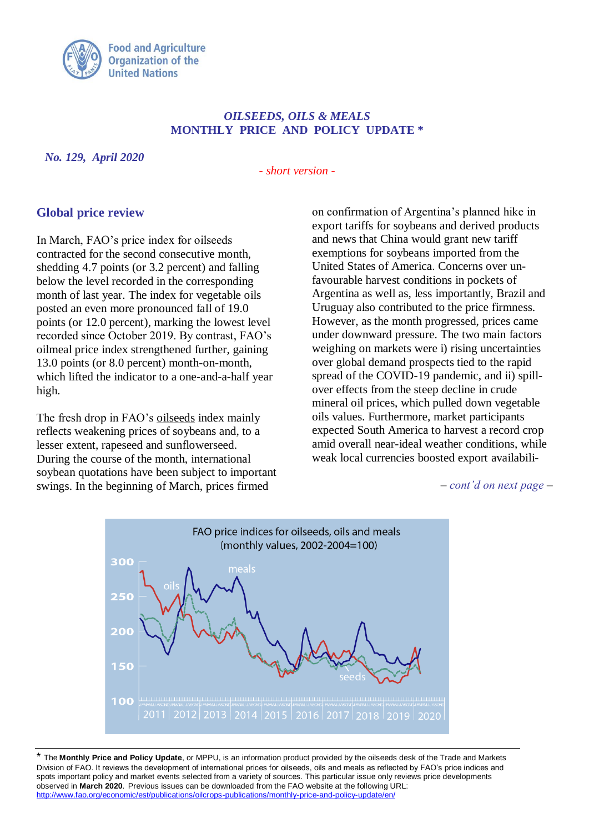

## *OILSEEDS, OILS & MEALS* **MONTHLY PRICE AND POLICY UPDATE \***

*No. 129, April 2020*

*- short version -*

## **Global price review**

In March, FAO's price index for oilseeds contracted for the second consecutive month, shedding 4.7 points (or 3.2 percent) and falling below the level recorded in the corresponding month of last year. The index for vegetable oils posted an even more pronounced fall of 19.0 points (or 12.0 percent), marking the lowest level recorded since October 2019. By contrast, FAO's oilmeal price index strengthened further, gaining 13.0 points (or 8.0 percent) month-on-month, which lifted the indicator to a one-and-a-half year high.

The fresh drop in FAO's oilseeds index mainly reflects weakening prices of soybeans and, to a lesser extent, rapeseed and sunflowerseed. During the course of the month, international soybean quotations have been subject to important swings. In the beginning of March, prices firmed

on confirmation of Argentina's planned hike in export tariffs for soybeans and derived products and news that China would grant new tariff exemptions for soybeans imported from the United States of America. Concerns over unfavourable harvest conditions in pockets of Argentina as well as, less importantly, Brazil and Uruguay also contributed to the price firmness. However, as the month progressed, prices came under downward pressure. The two main factors weighing on markets were i) rising uncertainties over global demand prospects tied to the rapid spread of the COVID-19 pandemic, and ii) spillover effects from the steep decline in crude mineral oil prices, which pulled down vegetable oils values. Furthermore, market participants expected South America to harvest a record crop amid overall near-ideal weather conditions, while weak local currencies boosted export availabili-

*– cont'd on next page –*



\* The **Monthly Price and Policy Update**, or MPPU, is an information product provided by the oilseeds desk of the Trade and Markets Division of FAO. It reviews the development of international prices for oilseeds, oils and meals as reflected by FAO's price indices and spots important policy and market events selected from a variety of sources. This particular issue only reviews price developments observed in **March 2020**. Previous issues can be downloaded from the FAO website at the following URL: <http://www.fao.org/economic/est/publications/oilcrops-publications/monthly-price-and-policy-update/en/>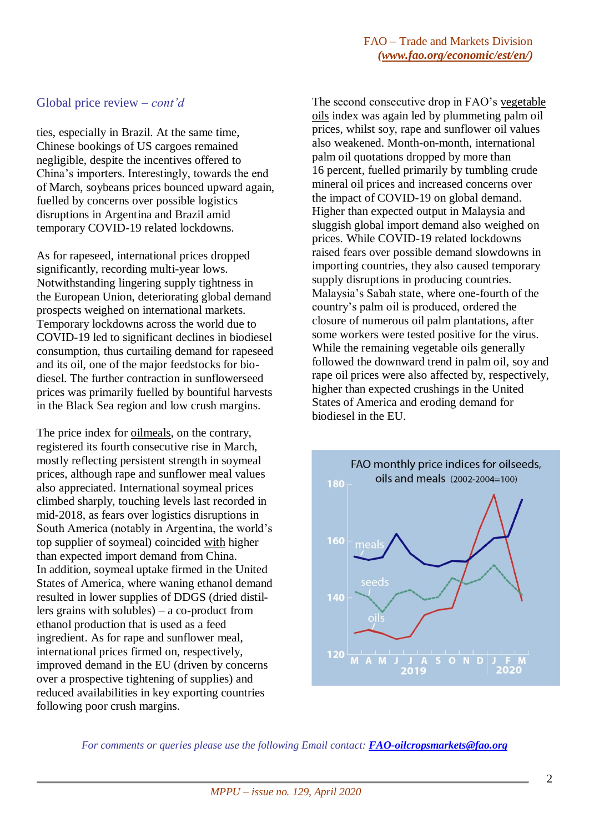## Global price review *– cont'd*

ties, especially in Brazil. At the same time, Chinese bookings of US cargoes remained negligible, despite the incentives offered to China's importers. Interestingly, towards the end of March, soybeans prices bounced upward again, fuelled by concerns over possible logistics disruptions in Argentina and Brazil amid temporary COVID-19 related lockdowns.

As for rapeseed, international prices dropped significantly, recording multi-year lows. Notwithstanding lingering supply tightness in the European Union, deteriorating global demand prospects weighed on international markets. Temporary lockdowns across the world due to COVID-19 led to significant declines in biodiesel consumption, thus curtailing demand for rapeseed and its oil, one of the major feedstocks for biodiesel. The further contraction in sunflowerseed prices was primarily fuelled by bountiful harvests in the Black Sea region and low crush margins.

The price index for oilmeals, on the contrary, registered its fourth consecutive rise in March, mostly reflecting persistent strength in soymeal prices, although rape and sunflower meal values also appreciated. International soymeal prices climbed sharply, touching levels last recorded in mid-2018, as fears over logistics disruptions in South America (notably in Argentina, the world's top supplier of soymeal) coincided with higher than expected import demand from China. In addition, soymeal uptake firmed in the United States of America, where waning ethanol demand resulted in lower supplies of DDGS (dried distillers grains with solubles) – a co-product from ethanol production that is used as a feed ingredient. As for rape and sunflower meal, international prices firmed on, respectively, improved demand in the EU (driven by concerns over a prospective tightening of supplies) and reduced availabilities in key exporting countries following poor crush margins.

The second consecutive drop in FAO's vegetable oils index was again led by plummeting palm oil prices, whilst soy, rape and sunflower oil values also weakened. Month-on-month, international palm oil quotations dropped by more than 16 percent, fuelled primarily by tumbling crude mineral oil prices and increased concerns over the impact of COVID-19 on global demand. Higher than expected output in Malaysia and sluggish global import demand also weighed on prices. While COVID-19 related lockdowns raised fears over possible demand slowdowns in importing countries, they also caused temporary supply disruptions in producing countries. Malaysia's Sabah state, where one-fourth of the country's palm oil is produced, ordered the closure of numerous oil palm plantations, after some workers were tested positive for the virus. While the remaining vegetable oils generally followed the downward trend in palm oil, soy and rape oil prices were also affected by, respectively, higher than expected crushings in the United States of America and eroding demand for biodiesel in the EU.



*For comments or queries please use the following Email contact: [FAO-oilcropsmarkets@fao.org](mailto:FAO-oilcropsmarkets@fao.org)*